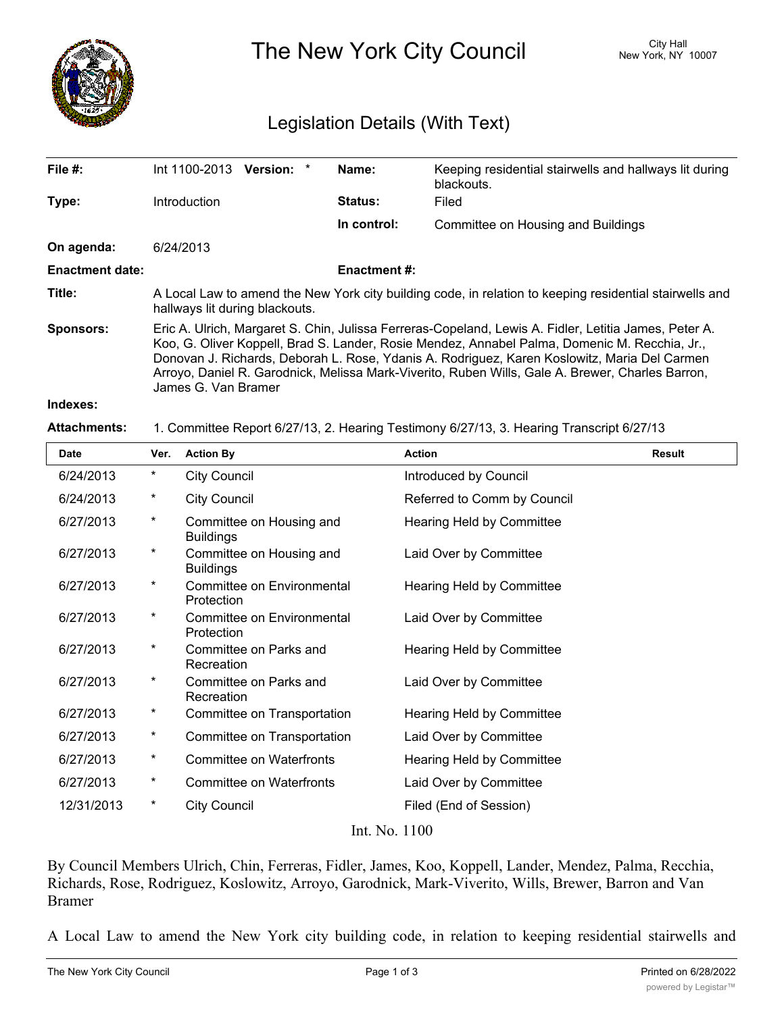

The New York City Council New York, NY 10007

## Legislation Details (With Text)

| File $#$ :             | Int 1100-2013<br><b>Version:</b>                                                                                                                                                                                                                                                                                                                                                                                                  | Name:               | Keeping residential stairwells and hallways lit during<br>blackouts. |  |  |
|------------------------|-----------------------------------------------------------------------------------------------------------------------------------------------------------------------------------------------------------------------------------------------------------------------------------------------------------------------------------------------------------------------------------------------------------------------------------|---------------------|----------------------------------------------------------------------|--|--|
| Type:                  | Introduction                                                                                                                                                                                                                                                                                                                                                                                                                      | Status:             | Filed                                                                |  |  |
|                        |                                                                                                                                                                                                                                                                                                                                                                                                                                   | In control:         | Committee on Housing and Buildings                                   |  |  |
| On agenda:             | 6/24/2013                                                                                                                                                                                                                                                                                                                                                                                                                         |                     |                                                                      |  |  |
| <b>Enactment date:</b> |                                                                                                                                                                                                                                                                                                                                                                                                                                   | <b>Enactment #:</b> |                                                                      |  |  |
| Title:                 | A Local Law to amend the New York city building code, in relation to keeping residential stairwells and<br>hallways lit during blackouts.                                                                                                                                                                                                                                                                                         |                     |                                                                      |  |  |
| <b>Sponsors:</b>       | Eric A. Ulrich, Margaret S. Chin, Julissa Ferreras-Copeland, Lewis A. Fidler, Letitia James, Peter A.<br>Koo, G. Oliver Koppell, Brad S. Lander, Rosie Mendez, Annabel Palma, Domenic M. Recchia, Jr.,<br>Donovan J. Richards, Deborah L. Rose, Ydanis A. Rodriguez, Karen Koslowitz, Maria Del Carmen<br>Arroyo, Daniel R. Garodnick, Melissa Mark-Viverito, Ruben Wills, Gale A. Brewer, Charles Barron,<br>James G. Van Bramer |                     |                                                                      |  |  |
| Indexes:               |                                                                                                                                                                                                                                                                                                                                                                                                                                   |                     |                                                                      |  |  |

**Attachments:** 1. Committee Report 6/27/13, 2. Hearing Testimony 6/27/13, 3. Hearing Transcript 6/27/13

| <b>Date</b>   | Ver.       | <b>Action By</b>                             | <b>Action</b>               | <b>Result</b> |  |
|---------------|------------|----------------------------------------------|-----------------------------|---------------|--|
| 6/24/2013     | $^\star$   | <b>City Council</b>                          | Introduced by Council       |               |  |
| 6/24/2013     | $^\star$   | <b>City Council</b>                          | Referred to Comm by Council |               |  |
| 6/27/2013     | $^\star$   | Committee on Housing and<br><b>Buildings</b> | Hearing Held by Committee   |               |  |
| 6/27/2013     | $^\star$   | Committee on Housing and<br><b>Buildings</b> | Laid Over by Committee      |               |  |
| 6/27/2013     | $^\star$   | Committee on Environmental<br>Protection     | Hearing Held by Committee   |               |  |
| 6/27/2013     | $^\star$   | Committee on Environmental<br>Protection     | Laid Over by Committee      |               |  |
| 6/27/2013     | $^\star$   | Committee on Parks and<br>Recreation         | Hearing Held by Committee   |               |  |
| 6/27/2013     | $^\star$   | Committee on Parks and<br>Recreation         | Laid Over by Committee      |               |  |
| 6/27/2013     | $^\star$   | Committee on Transportation                  | Hearing Held by Committee   |               |  |
| 6/27/2013     | $^{\star}$ | Committee on Transportation                  | Laid Over by Committee      |               |  |
| 6/27/2013     | $^{\star}$ | Committee on Waterfronts                     | Hearing Held by Committee   |               |  |
| 6/27/2013     | $^\star$   | <b>Committee on Waterfronts</b>              | Laid Over by Committee      |               |  |
| 12/31/2013    | $^\star$   | <b>City Council</b>                          | Filed (End of Session)      |               |  |
| Int. No. 1100 |            |                                              |                             |               |  |

By Council Members Ulrich, Chin, Ferreras, Fidler, James, Koo, Koppell, Lander, Mendez, Palma, Recchia, Richards, Rose, Rodriguez, Koslowitz, Arroyo, Garodnick, Mark-Viverito, Wills, Brewer, Barron and Van Bramer

A Local Law to amend the New York city building code, in relation to keeping residential stairwells and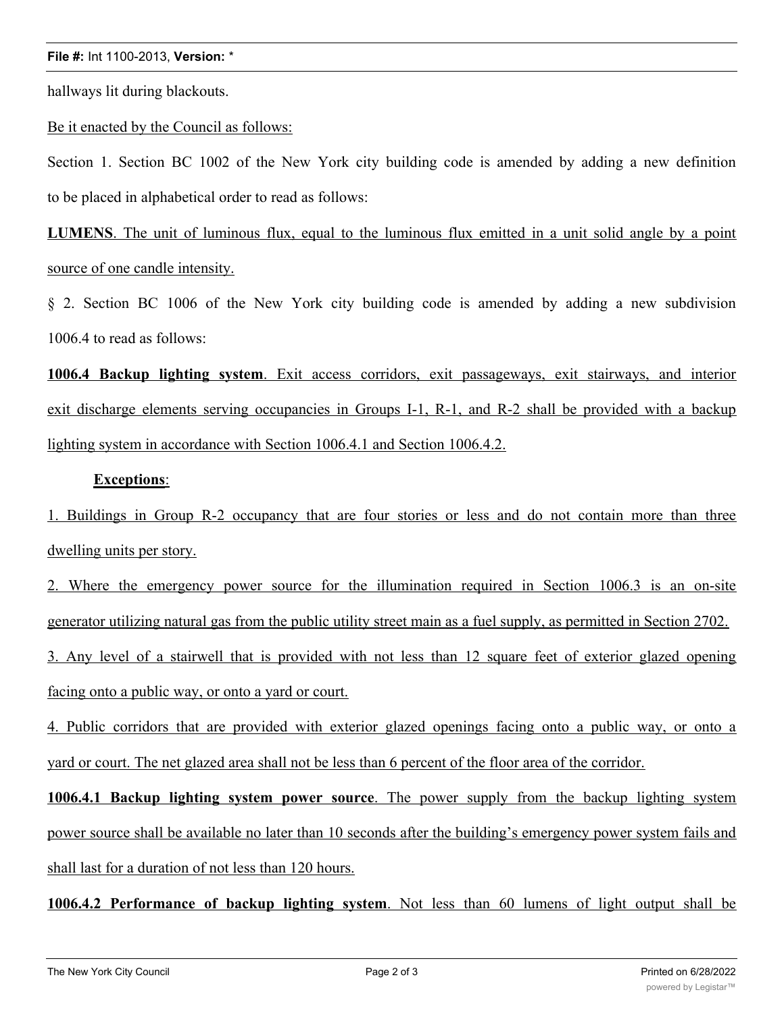## **File #:** Int 1100-2013, **Version:** \*

hallways lit during blackouts.

Be it enacted by the Council as follows:

Section 1. Section BC 1002 of the New York city building code is amended by adding a new definition to be placed in alphabetical order to read as follows:

LUMENS. The unit of luminous flux, equal to the luminous flux emitted in a unit solid angle by a point source of one candle intensity.

§ 2. Section BC 1006 of the New York city building code is amended by adding a new subdivision 1006.4 to read as follows:

**1006.4 Backup lighting system**. Exit access corridors, exit passageways, exit stairways, and interior exit discharge elements serving occupancies in Groups I-1, R-1, and R-2 shall be provided with a backup lighting system in accordance with Section 1006.4.1 and Section 1006.4.2.

## **Exceptions**:

1. Buildings in Group R-2 occupancy that are four stories or less and do not contain more than three dwelling units per story.

2. Where the emergency power source for the illumination required in Section 1006.3 is an on-site generator utilizing natural gas from the public utility street main as a fuel supply, as permitted in Section 2702.

3. Any level of a stairwell that is provided with not less than 12 square feet of exterior glazed opening facing onto a public way, or onto a yard or court.

4. Public corridors that are provided with exterior glazed openings facing onto a public way, or onto a yard or court. The net glazed area shall not be less than 6 percent of the floor area of the corridor.

**1006.4.1 Backup lighting system power source**. The power supply from the backup lighting system power source shall be available no later than 10 seconds after the building's emergency power system fails and shall last for a duration of not less than 120 hours.

**1006.4.2 Performance of backup lighting system**. Not less than 60 lumens of light output shall be